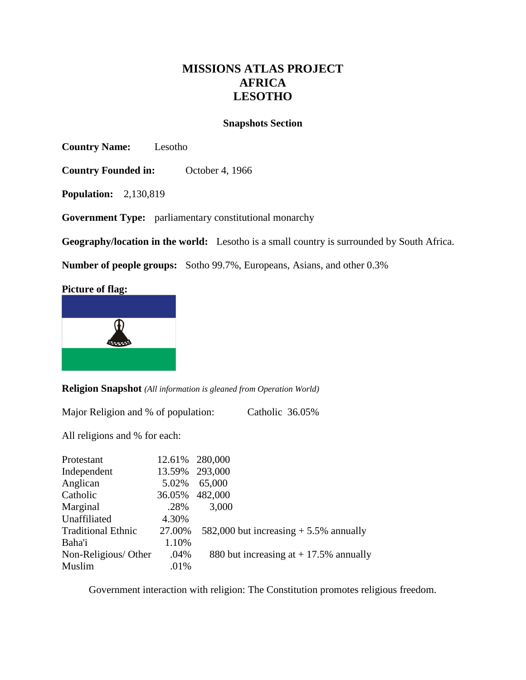# **MISSIONS ATLAS PROJECT AFRICA LESOTHO**

### **Snapshots Section**

**Country Name:** Lesotho

**Country Founded in:** October 4, 1966

**Population:** 2,130,819

**Government Type:** parliamentary constitutional monarchy

**Geography/location in the world:** Lesotho is a small country is surrounded by South Africa.

**Number of people groups:** Sotho 99.7%, Europeans, Asians, and other 0.3%

### **Picture of flag:**



**Religion Snapshot** *(All information is gleaned from Operation World)*

Major Religion and % of population: Catholic 36.05%

All religions and % for each:

| Protestant                | 12.61% | 280,000                                  |
|---------------------------|--------|------------------------------------------|
| Independent               | 13.59% | 293,000                                  |
| Anglican                  | 5.02%  | 65,000                                   |
| Catholic                  | 36.05% | 482,000                                  |
| Marginal                  | .28%   | 3,000                                    |
| Unaffiliated              | 4.30%  |                                          |
| <b>Traditional Ethnic</b> | 27.00% | 582,000 but increasing $+$ 5.5% annually |
| Baha'i                    | 1.10%  |                                          |
| Non-Religious/Other       | .04%   | 880 but increasing at $+$ 17.5% annually |
| Muslim                    | .01%   |                                          |

Government interaction with religion: The Constitution promotes religious freedom.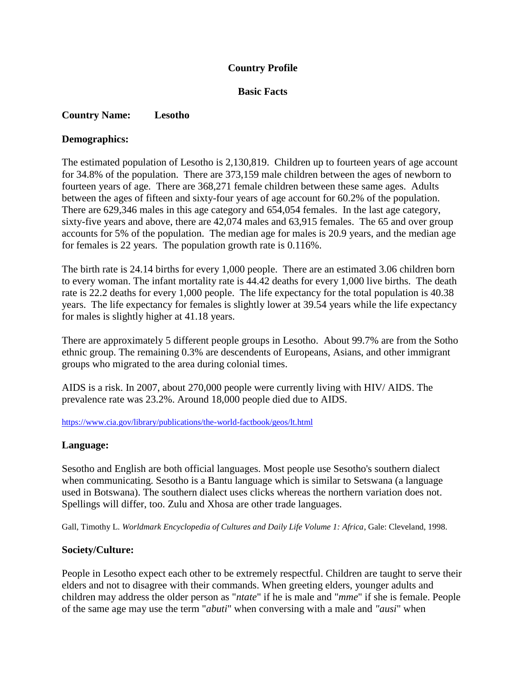## **Country Profile**

### **Basic Facts**

### **Country Name: Lesotho**

### **Demographics:**

The estimated population of Lesotho is 2,130,819. Children up to fourteen years of age account for 34.8% of the population. There are 373,159 male children between the ages of newborn to fourteen years of age. There are 368,271 female children between these same ages. Adults between the ages of fifteen and sixty-four years of age account for 60.2% of the population. There are 629,346 males in this age category and 654,054 females. In the last age category, sixty-five years and above, there are 42,074 males and 63,915 females. The 65 and over group accounts for 5% of the population. The median age for males is 20.9 years, and the median age for females is 22 years. The population growth rate is 0.116%.

The birth rate is 24.14 births for every 1,000 people. There are an estimated 3.06 children born to every woman. The infant mortality rate is 44.42 deaths for every 1,000 live births. The death rate is 22.2 deaths for every 1,000 people. The life expectancy for the total population is 40.38 years. The life expectancy for females is slightly lower at 39.54 years while the life expectancy for males is slightly higher at 41.18 years.

There are approximately 5 different people groups in Lesotho. About 99.7% are from the Sotho ethnic group. The remaining 0.3% are descendents of Europeans, Asians, and other immigrant groups who migrated to the area during colonial times.

AIDS is a risk. In 2007, about 270,000 people were currently living with HIV/ AIDS. The prevalence rate was 23.2%. Around 18,000 people died due to AIDS.

<https://www.cia.gov/library/publications/the-world-factbook/geos/lt.html>

### **Language:**

Sesotho and English are both official languages. Most people use Sesotho's southern dialect when communicating. Sesotho is a Bantu language which is similar to Setswana (a language used in Botswana). The southern dialect uses clicks whereas the northern variation does not. Spellings will differ, too. Zulu and Xhosa are other trade languages.

Gall, Timothy L. *Worldmark Encyclopedia of Cultures and Daily Life Volume 1: Africa*, Gale: Cleveland, 1998.

### **Society/Culture:**

People in Lesotho expect each other to be extremely respectful. Children are taught to serve their elders and not to disagree with their commands. When greeting elders, younger adults and children may address the older person as "*ntate*" if he is male and "*mme*" if she is female. People of the same age may use the term "*abuti*" when conversing with a male and *"ausi*" when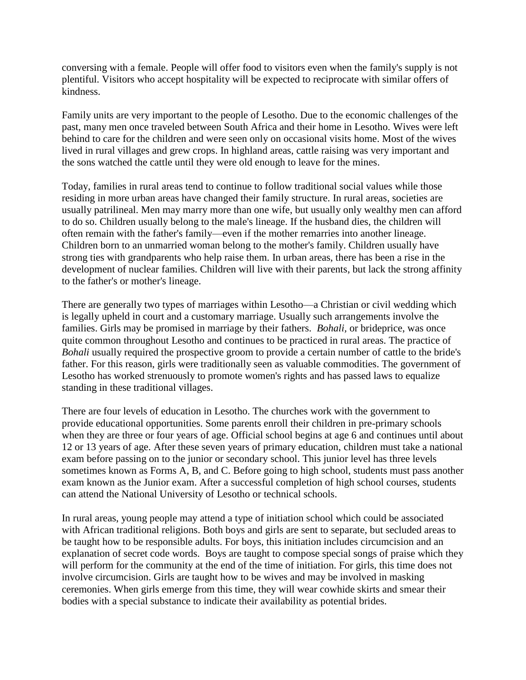conversing with a female. People will offer food to visitors even when the family's supply is not plentiful. Visitors who accept hospitality will be expected to reciprocate with similar offers of kindness.

Family units are very important to the people of Lesotho. Due to the economic challenges of the past, many men once traveled between South Africa and their home in Lesotho. Wives were left behind to care for the children and were seen only on occasional visits home. Most of the wives lived in rural villages and grew crops. In highland areas, cattle raising was very important and the sons watched the cattle until they were old enough to leave for the mines.

Today, families in rural areas tend to continue to follow traditional social values while those residing in more urban areas have changed their family structure. In rural areas, societies are usually patrilineal. Men may marry more than one wife, but usually only wealthy men can afford to do so. Children usually belong to the male's lineage. If the husband dies, the children will often remain with the father's family—even if the mother remarries into another lineage. Children born to an unmarried woman belong to the mother's family. Children usually have strong ties with grandparents who help raise them. In urban areas, there has been a rise in the development of nuclear families. Children will live with their parents, but lack the strong affinity to the father's or mother's lineage.

There are generally two types of marriages within Lesotho—a Christian or civil wedding which is legally upheld in court and a customary marriage. Usually such arrangements involve the families. Girls may be promised in marriage by their fathers. *Bohali,* or brideprice, was once quite common throughout Lesotho and continues to be practiced in rural areas. The practice of *Bohali* usually required the prospective groom to provide a certain number of cattle to the bride's father. For this reason, girls were traditionally seen as valuable commodities. The government of Lesotho has worked strenuously to promote women's rights and has passed laws to equalize standing in these traditional villages.

There are four levels of education in Lesotho. The churches work with the government to provide educational opportunities. Some parents enroll their children in pre-primary schools when they are three or four years of age. Official school begins at age 6 and continues until about 12 or 13 years of age. After these seven years of primary education, children must take a national exam before passing on to the junior or secondary school. This junior level has three levels sometimes known as Forms A, B, and C. Before going to high school, students must pass another exam known as the Junior exam. After a successful completion of high school courses, students can attend the National University of Lesotho or technical schools.

In rural areas, young people may attend a type of initiation school which could be associated with African traditional religions. Both boys and girls are sent to separate, but secluded areas to be taught how to be responsible adults. For boys, this initiation includes circumcision and an explanation of secret code words. Boys are taught to compose special songs of praise which they will perform for the community at the end of the time of initiation. For girls, this time does not involve circumcision. Girls are taught how to be wives and may be involved in masking ceremonies. When girls emerge from this time, they will wear cowhide skirts and smear their bodies with a special substance to indicate their availability as potential brides.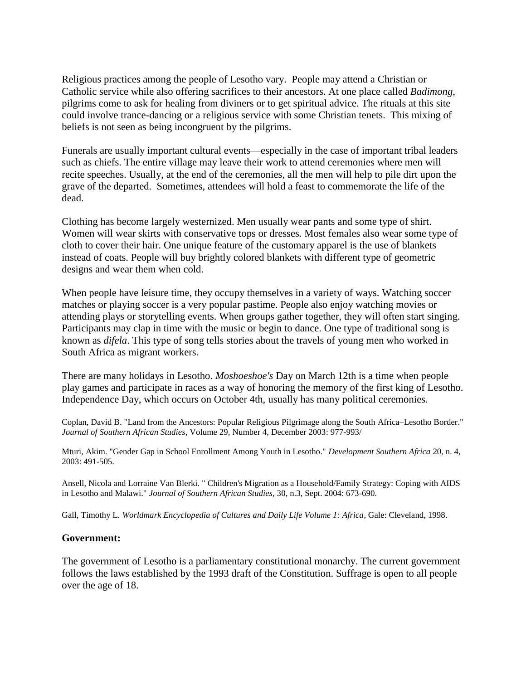Religious practices among the people of Lesotho vary. People may attend a Christian or Catholic service while also offering sacrifices to their ancestors. At one place called *Badimong*, pilgrims come to ask for healing from diviners or to get spiritual advice. The rituals at this site could involve trance-dancing or a religious service with some Christian tenets. This mixing of beliefs is not seen as being incongruent by the pilgrims.

Funerals are usually important cultural events—especially in the case of important tribal leaders such as chiefs. The entire village may leave their work to attend ceremonies where men will recite speeches. Usually, at the end of the ceremonies, all the men will help to pile dirt upon the grave of the departed. Sometimes, attendees will hold a feast to commemorate the life of the dead.

Clothing has become largely westernized. Men usually wear pants and some type of shirt. Women will wear skirts with conservative tops or dresses. Most females also wear some type of cloth to cover their hair. One unique feature of the customary apparel is the use of blankets instead of coats. People will buy brightly colored blankets with different type of geometric designs and wear them when cold.

When people have leisure time, they occupy themselves in a variety of ways. Watching soccer matches or playing soccer is a very popular pastime. People also enjoy watching movies or attending plays or storytelling events. When groups gather together, they will often start singing. Participants may clap in time with the music or begin to dance. One type of traditional song is known as *difela*. This type of song tells stories about the travels of young men who worked in South Africa as migrant workers.

There are many holidays in Lesotho. *Moshoeshoe's* Day on March 12th is a time when people play games and participate in races as a way of honoring the memory of the first king of Lesotho. Independence Day, which occurs on October 4th, usually has many political ceremonies.

Coplan, David B. "Land from the Ancestors: Popular Religious Pilgrimage along the South Africa–Lesotho Border." *Journal of Southern African Studies*, Volume 29, Number 4, December 2003: 977-993/

Mturi, Akim. "Gender Gap in School Enrollment Among Youth in Lesotho." *Development Southern Africa* 20, n. 4, 2003: 491-505.

Ansell, Nicola and Lorraine Van Blerki. " Children's Migration as a Household/Family Strategy: Coping with AIDS in Lesotho and Malawi." *Journal of Southern African Studies*, 30, n.3, Sept. 2004: 673-690.

Gall, Timothy L. *Worldmark Encyclopedia of Cultures and Daily Life Volume 1: Africa*, Gale: Cleveland, 1998.

#### **Government:**

The government of Lesotho is a parliamentary constitutional monarchy. The current government follows the laws established by the 1993 draft of the Constitution. Suffrage is open to all people over the age of 18.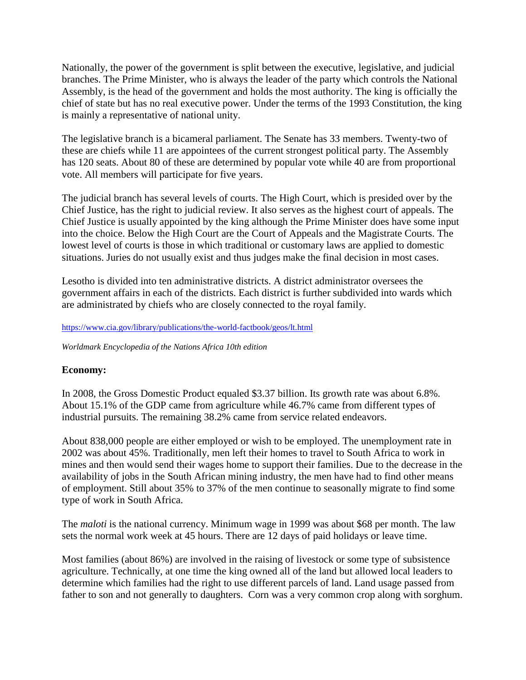Nationally, the power of the government is split between the executive, legislative, and judicial branches. The Prime Minister, who is always the leader of the party which controls the National Assembly, is the head of the government and holds the most authority. The king is officially the chief of state but has no real executive power. Under the terms of the 1993 Constitution, the king is mainly a representative of national unity.

The legislative branch is a bicameral parliament. The Senate has 33 members. Twenty-two of these are chiefs while 11 are appointees of the current strongest political party. The Assembly has 120 seats. About 80 of these are determined by popular vote while 40 are from proportional vote. All members will participate for five years.

The judicial branch has several levels of courts. The High Court, which is presided over by the Chief Justice, has the right to judicial review. It also serves as the highest court of appeals. The Chief Justice is usually appointed by the king although the Prime Minister does have some input into the choice. Below the High Court are the Court of Appeals and the Magistrate Courts. The lowest level of courts is those in which traditional or customary laws are applied to domestic situations. Juries do not usually exist and thus judges make the final decision in most cases.

Lesotho is divided into ten administrative districts. A district administrator oversees the government affairs in each of the districts. Each district is further subdivided into wards which are administrated by chiefs who are closely connected to the royal family.

### <https://www.cia.gov/library/publications/the-world-factbook/geos/lt.html>

*Worldmark Encyclopedia of the Nations Africa 10th edition*

## **Economy:**

In 2008, the Gross Domestic Product equaled \$3.37 billion. Its growth rate was about 6.8%. About 15.1% of the GDP came from agriculture while 46.7% came from different types of industrial pursuits. The remaining 38.2% came from service related endeavors.

About 838,000 people are either employed or wish to be employed. The unemployment rate in 2002 was about 45%. Traditionally, men left their homes to travel to South Africa to work in mines and then would send their wages home to support their families. Due to the decrease in the availability of jobs in the South African mining industry, the men have had to find other means of employment. Still about 35% to 37% of the men continue to seasonally migrate to find some type of work in South Africa.

The *maloti* is the national currency. Minimum wage in 1999 was about \$68 per month. The law sets the normal work week at 45 hours. There are 12 days of paid holidays or leave time.

Most families (about 86%) are involved in the raising of livestock or some type of subsistence agriculture. Technically, at one time the king owned all of the land but allowed local leaders to determine which families had the right to use different parcels of land. Land usage passed from father to son and not generally to daughters. Corn was a very common crop along with sorghum.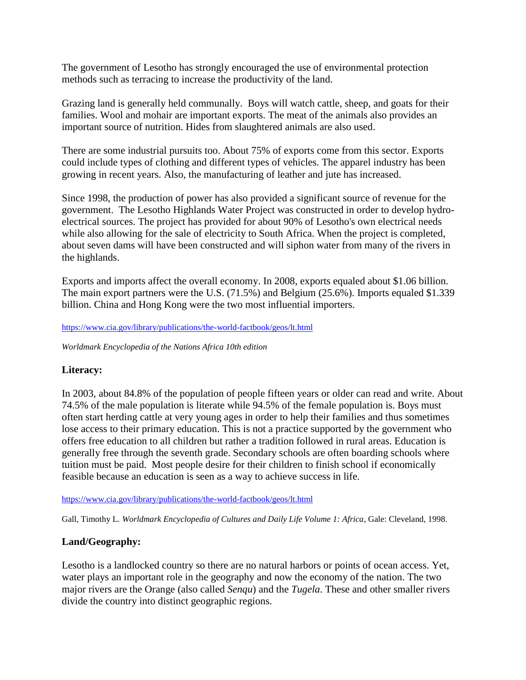The government of Lesotho has strongly encouraged the use of environmental protection methods such as terracing to increase the productivity of the land.

Grazing land is generally held communally. Boys will watch cattle, sheep, and goats for their families. Wool and mohair are important exports. The meat of the animals also provides an important source of nutrition. Hides from slaughtered animals are also used.

There are some industrial pursuits too. About 75% of exports come from this sector. Exports could include types of clothing and different types of vehicles. The apparel industry has been growing in recent years. Also, the manufacturing of leather and jute has increased.

Since 1998, the production of power has also provided a significant source of revenue for the government. The Lesotho Highlands Water Project was constructed in order to develop hydroelectrical sources. The project has provided for about 90% of Lesotho's own electrical needs while also allowing for the sale of electricity to South Africa. When the project is completed, about seven dams will have been constructed and will siphon water from many of the rivers in the highlands.

Exports and imports affect the overall economy. In 2008, exports equaled about \$1.06 billion. The main export partners were the U.S. (71.5%) and Belgium (25.6%). Imports equaled \$1.339 billion. China and Hong Kong were the two most influential importers.

<https://www.cia.gov/library/publications/the-world-factbook/geos/lt.html>

*Worldmark Encyclopedia of the Nations Africa 10th edition*

## **Literacy:**

In 2003, about 84.8% of the population of people fifteen years or older can read and write. About 74.5% of the male population is literate while 94.5% of the female population is. Boys must often start herding cattle at very young ages in order to help their families and thus sometimes lose access to their primary education. This is not a practice supported by the government who offers free education to all children but rather a tradition followed in rural areas. Education is generally free through the seventh grade. Secondary schools are often boarding schools where tuition must be paid. Most people desire for their children to finish school if economically feasible because an education is seen as a way to achieve success in life.

<https://www.cia.gov/library/publications/the-world-factbook/geos/lt.html>

Gall, Timothy L. *Worldmark Encyclopedia of Cultures and Daily Life Volume 1: Africa*, Gale: Cleveland, 1998.

## **Land/Geography:**

Lesotho is a landlocked country so there are no natural harbors or points of ocean access. Yet, water plays an important role in the geography and now the economy of the nation. The two major rivers are the Orange (also called *Senqu*) and the *Tugela*. These and other smaller rivers divide the country into distinct geographic regions.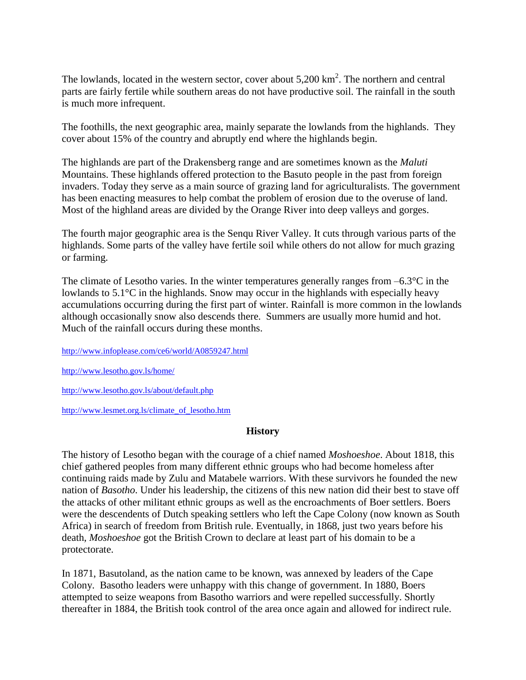The lowlands, located in the western sector, cover about  $5,200 \text{ km}^2$ . The northern and central parts are fairly fertile while southern areas do not have productive soil. The rainfall in the south is much more infrequent.

The foothills, the next geographic area, mainly separate the lowlands from the highlands. They cover about 15% of the country and abruptly end where the highlands begin.

The highlands are part of the Drakensberg range and are sometimes known as the *Maluti* Mountains. These highlands offered protection to the Basuto people in the past from foreign invaders. Today they serve as a main source of grazing land for agriculturalists. The government has been enacting measures to help combat the problem of erosion due to the overuse of land. Most of the highland areas are divided by the Orange River into deep valleys and gorges.

The fourth major geographic area is the Senqu River Valley. It cuts through various parts of the highlands. Some parts of the valley have fertile soil while others do not allow for much grazing or farming.

The climate of Lesotho varies. In the winter temperatures generally ranges from  $-6.3^{\circ}\text{C}$  in the lowlands to 5.1°C in the highlands. Snow may occur in the highlands with especially heavy accumulations occurring during the first part of winter. Rainfall is more common in the lowlands although occasionally snow also descends there. Summers are usually more humid and hot. Much of the rainfall occurs during these months.

<http://www.infoplease.com/ce6/world/A0859247.html>

<http://www.lesotho.gov.ls/home/>

<http://www.lesotho.gov.ls/about/default.php>

[http://www.lesmet.org.ls/climate\\_of\\_lesotho.htm](http://www.lesmet.org.ls/climate_of_lesotho.htm)

#### **History**

The history of Lesotho began with the courage of a chief named *Moshoeshoe*. About 1818, this chief gathered peoples from many different ethnic groups who had become homeless after continuing raids made by Zulu and Matabele warriors. With these survivors he founded the new nation of *Basotho*. Under his leadership, the citizens of this new nation did their best to stave off the attacks of other militant ethnic groups as well as the encroachments of Boer settlers. Boers were the descendents of Dutch speaking settlers who left the Cape Colony (now known as South Africa) in search of freedom from British rule. Eventually, in 1868, just two years before his death, *Moshoeshoe* got the British Crown to declare at least part of his domain to be a protectorate.

In 1871, Basutoland, as the nation came to be known, was annexed by leaders of the Cape Colony. Basotho leaders were unhappy with this change of government. In 1880, Boers attempted to seize weapons from Basotho warriors and were repelled successfully. Shortly thereafter in 1884, the British took control of the area once again and allowed for indirect rule.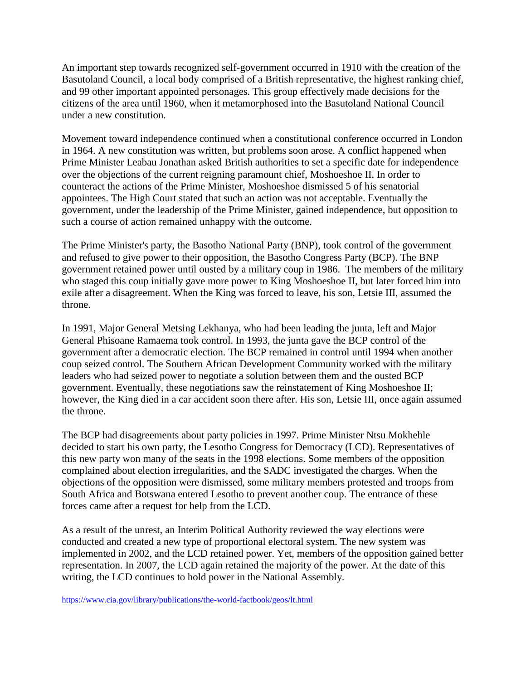An important step towards recognized self-government occurred in 1910 with the creation of the Basutoland Council, a local body comprised of a British representative, the highest ranking chief, and 99 other important appointed personages. This group effectively made decisions for the citizens of the area until 1960, when it metamorphosed into the Basutoland National Council under a new constitution.

Movement toward independence continued when a constitutional conference occurred in London in 1964. A new constitution was written, but problems soon arose. A conflict happened when Prime Minister Leabau Jonathan asked British authorities to set a specific date for independence over the objections of the current reigning paramount chief, Moshoeshoe II. In order to counteract the actions of the Prime Minister, Moshoeshoe dismissed 5 of his senatorial appointees. The High Court stated that such an action was not acceptable. Eventually the government, under the leadership of the Prime Minister, gained independence, but opposition to such a course of action remained unhappy with the outcome.

The Prime Minister's party, the Basotho National Party (BNP), took control of the government and refused to give power to their opposition, the Basotho Congress Party (BCP). The BNP government retained power until ousted by a military coup in 1986. The members of the military who staged this coup initially gave more power to King Moshoeshoe II, but later forced him into exile after a disagreement. When the King was forced to leave, his son, Letsie III, assumed the throne.

In 1991, Major General Metsing Lekhanya, who had been leading the junta, left and Major General Phisoane Ramaema took control. In 1993, the junta gave the BCP control of the government after a democratic election. The BCP remained in control until 1994 when another coup seized control. The Southern African Development Community worked with the military leaders who had seized power to negotiate a solution between them and the ousted BCP government. Eventually, these negotiations saw the reinstatement of King Moshoeshoe II; however, the King died in a car accident soon there after. His son, Letsie III, once again assumed the throne.

The BCP had disagreements about party policies in 1997. Prime Minister Ntsu Mokhehle decided to start his own party, the Lesotho Congress for Democracy (LCD). Representatives of this new party won many of the seats in the 1998 elections. Some members of the opposition complained about election irregularities, and the SADC investigated the charges. When the objections of the opposition were dismissed, some military members protested and troops from South Africa and Botswana entered Lesotho to prevent another coup. The entrance of these forces came after a request for help from the LCD.

As a result of the unrest, an Interim Political Authority reviewed the way elections were conducted and created a new type of proportional electoral system. The new system was implemented in 2002, and the LCD retained power. Yet, members of the opposition gained better representation. In 2007, the LCD again retained the majority of the power. At the date of this writing, the LCD continues to hold power in the National Assembly.

<https://www.cia.gov/library/publications/the-world-factbook/geos/lt.html>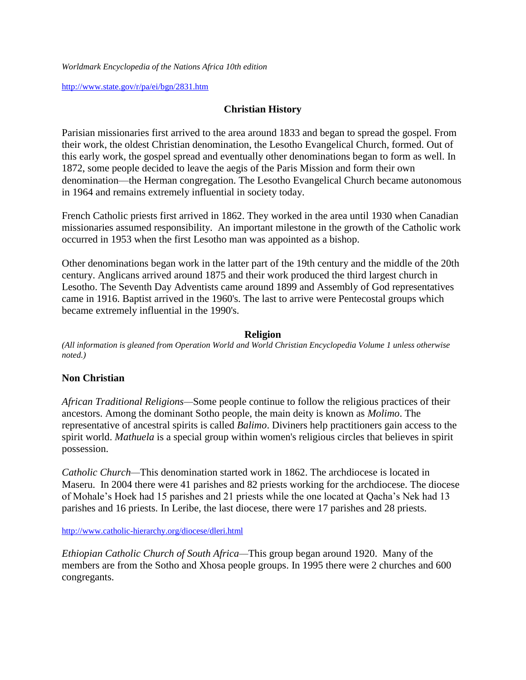*Worldmark Encyclopedia of the Nations Africa 10th edition*

<http://www.state.gov/r/pa/ei/bgn/2831.htm>

## **Christian History**

Parisian missionaries first arrived to the area around 1833 and began to spread the gospel. From their work, the oldest Christian denomination, the Lesotho Evangelical Church, formed. Out of this early work, the gospel spread and eventually other denominations began to form as well. In 1872, some people decided to leave the aegis of the Paris Mission and form their own denomination—the Herman congregation. The Lesotho Evangelical Church became autonomous in 1964 and remains extremely influential in society today.

French Catholic priests first arrived in 1862. They worked in the area until 1930 when Canadian missionaries assumed responsibility. An important milestone in the growth of the Catholic work occurred in 1953 when the first Lesotho man was appointed as a bishop.

Other denominations began work in the latter part of the 19th century and the middle of the 20th century. Anglicans arrived around 1875 and their work produced the third largest church in Lesotho. The Seventh Day Adventists came around 1899 and Assembly of God representatives came in 1916. Baptist arrived in the 1960's. The last to arrive were Pentecostal groups which became extremely influential in the 1990's.

### **Religion**

*(All information is gleaned from Operation World and World Christian Encyclopedia Volume 1 unless otherwise noted.)*

## **Non Christian**

*African Traditional Religions—*Some people continue to follow the religious practices of their ancestors. Among the dominant Sotho people, the main deity is known as *Molimo*. The representative of ancestral spirits is called *Balimo*. Diviners help practitioners gain access to the spirit world. *Mathuela* is a special group within women's religious circles that believes in spirit possession.

*Catholic Church—This denomination started work in 1862. The archdiocese is located in* Maseru. In 2004 there were 41 parishes and 82 priests working for the archdiocese. The diocese of Mohale's Hoek had 15 parishes and 21 priests while the one located at Qacha's Nek had 13 parishes and 16 priests. In Leribe, the last diocese, there were 17 parishes and 28 priests.

<http://www.catholic-hierarchy.org/diocese/dleri.html>

*Ethiopian Catholic Church of South Africa—*This group began around 1920. Many of the members are from the Sotho and Xhosa people groups. In 1995 there were 2 churches and 600 congregants.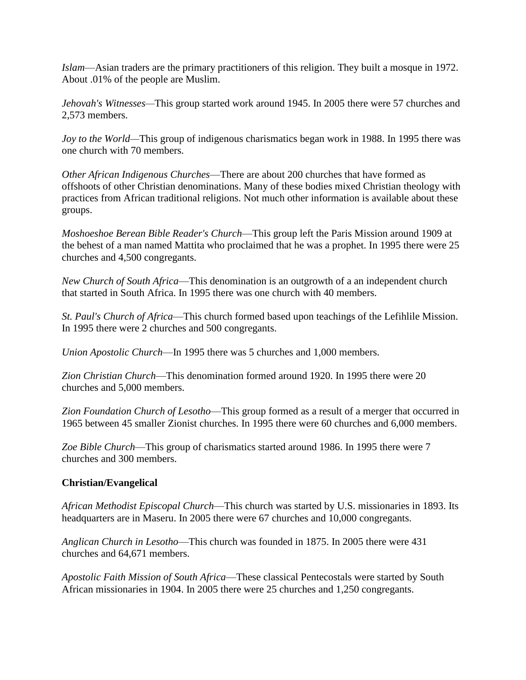*Islam*—Asian traders are the primary practitioners of this religion. They built a mosque in 1972. About .01% of the people are Muslim.

*Jehovah's Witnesses—*This group started work around 1945. In 2005 there were 57 churches and 2,573 members.

*Joy to the World—*This group of indigenous charismatics began work in 1988. In 1995 there was one church with 70 members.

*Other African Indigenous Churches*—There are about 200 churches that have formed as offshoots of other Christian denominations. Many of these bodies mixed Christian theology with practices from African traditional religions. Not much other information is available about these groups.

*Moshoeshoe Berean Bible Reader's Church*—This group left the Paris Mission around 1909 at the behest of a man named Mattita who proclaimed that he was a prophet. In 1995 there were 25 churches and 4,500 congregants.

*New Church of South Africa*—This denomination is an outgrowth of a an independent church that started in South Africa. In 1995 there was one church with 40 members.

*St. Paul's Church of Africa*—This church formed based upon teachings of the Lefihlile Mission. In 1995 there were 2 churches and 500 congregants.

*Union Apostolic Church*—In 1995 there was 5 churches and 1,000 members.

*Zion Christian Church*—This denomination formed around 1920. In 1995 there were 20 churches and 5,000 members.

*Zion Foundation Church of Lesotho*—This group formed as a result of a merger that occurred in 1965 between 45 smaller Zionist churches. In 1995 there were 60 churches and 6,000 members.

*Zoe Bible Church*—This group of charismatics started around 1986. In 1995 there were 7 churches and 300 members.

## **Christian/Evangelical**

*African Methodist Episcopal Church*—This church was started by U.S. missionaries in 1893. Its headquarters are in Maseru. In 2005 there were 67 churches and 10,000 congregants.

*Anglican Church in Lesotho*—This church was founded in 1875. In 2005 there were 431 churches and 64,671 members.

*Apostolic Faith Mission of South Africa*—These classical Pentecostals were started by South African missionaries in 1904. In 2005 there were 25 churches and 1,250 congregants.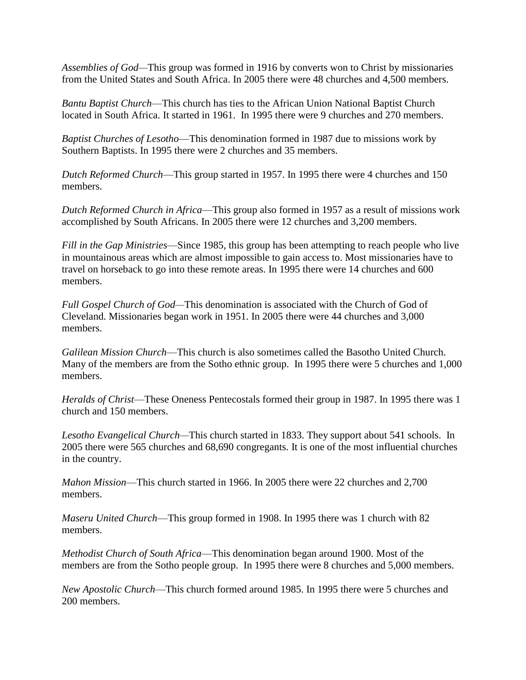*Assemblies of God—*This group was formed in 1916 by converts won to Christ by missionaries from the United States and South Africa. In 2005 there were 48 churches and 4,500 members.

*Bantu Baptist Church*—This church has ties to the African Union National Baptist Church located in South Africa. It started in 1961. In 1995 there were 9 churches and 270 members.

*Baptist Churches of Lesotho*—This denomination formed in 1987 due to missions work by Southern Baptists. In 1995 there were 2 churches and 35 members.

*Dutch Reformed Church*—This group started in 1957. In 1995 there were 4 churches and 150 members.

*Dutch Reformed Church in Africa*—This group also formed in 1957 as a result of missions work accomplished by South Africans. In 2005 there were 12 churches and 3,200 members.

*Fill in the Gap Ministries*—Since 1985, this group has been attempting to reach people who live in mountainous areas which are almost impossible to gain access to. Most missionaries have to travel on horseback to go into these remote areas. In 1995 there were 14 churches and 600 members.

*Full Gospel Church of God—*This denomination is associated with the Church of God of Cleveland. Missionaries began work in 1951. In 2005 there were 44 churches and 3,000 members.

*Galilean Mission Church*—This church is also sometimes called the Basotho United Church. Many of the members are from the Sotho ethnic group. In 1995 there were 5 churches and 1,000 members.

*Heralds of Christ*—These Oneness Pentecostals formed their group in 1987. In 1995 there was 1 church and 150 members.

*Lesotho Evangelical Church—*This church started in 1833. They support about 541 schools. In 2005 there were 565 churches and 68,690 congregants. It is one of the most influential churches in the country.

*Mahon Mission*—This church started in 1966. In 2005 there were 22 churches and 2,700 members.

*Maseru United Church*—This group formed in 1908. In 1995 there was 1 church with 82 members.

*Methodist Church of South Africa*—This denomination began around 1900. Most of the members are from the Sotho people group. In 1995 there were 8 churches and 5,000 members.

*New Apostolic Church*—This church formed around 1985. In 1995 there were 5 churches and 200 members.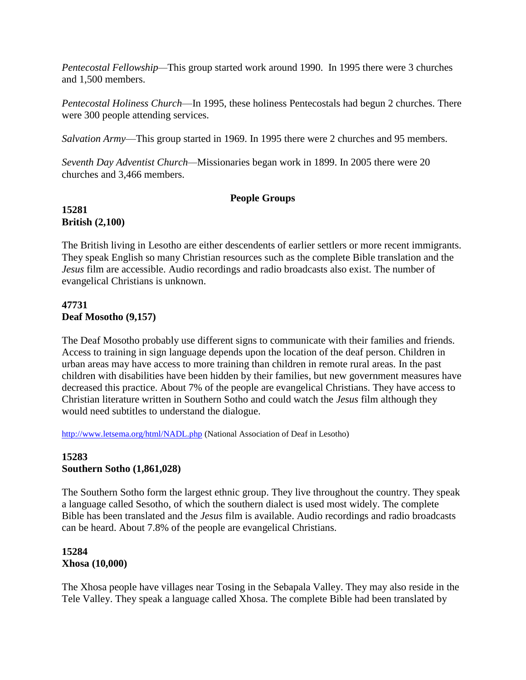*Pentecostal Fellowship—*This group started work around 1990. In 1995 there were 3 churches and 1,500 members.

*Pentecostal Holiness Church*—In 1995, these holiness Pentecostals had begun 2 churches. There were 300 people attending services.

*Salvation Army*—This group started in 1969. In 1995 there were 2 churches and 95 members.

*Seventh Day Adventist Church—*Missionaries began work in 1899. In 2005 there were 20 churches and 3,466 members.

## **People Groups**

## **15281 British (2,100)**

The British living in Lesotho are either descendents of earlier settlers or more recent immigrants. They speak English so many Christian resources such as the complete Bible translation and the *Jesus* film are accessible. Audio recordings and radio broadcasts also exist. The number of evangelical Christians is unknown.

## **47731 Deaf Mosotho (9,157)**

The Deaf Mosotho probably use different signs to communicate with their families and friends. Access to training in sign language depends upon the location of the deaf person. Children in urban areas may have access to more training than children in remote rural areas. In the past children with disabilities have been hidden by their families, but new government measures have decreased this practice. About 7% of the people are evangelical Christians. They have access to Christian literature written in Southern Sotho and could watch the *Jesus* film although they would need subtitles to understand the dialogue.

<http://www.letsema.org/html/NADL.php> (National Association of Deaf in Lesotho)

### **15283 Southern Sotho (1,861,028)**

The Southern Sotho form the largest ethnic group. They live throughout the country. They speak a language called Sesotho, of which the southern dialect is used most widely. The complete Bible has been translated and the *Jesus* film is available. Audio recordings and radio broadcasts can be heard. About 7.8% of the people are evangelical Christians.

### **15284 Xhosa (10,000)**

The Xhosa people have villages near Tosing in the Sebapala Valley. They may also reside in the Tele Valley. They speak a language called Xhosa. The complete Bible had been translated by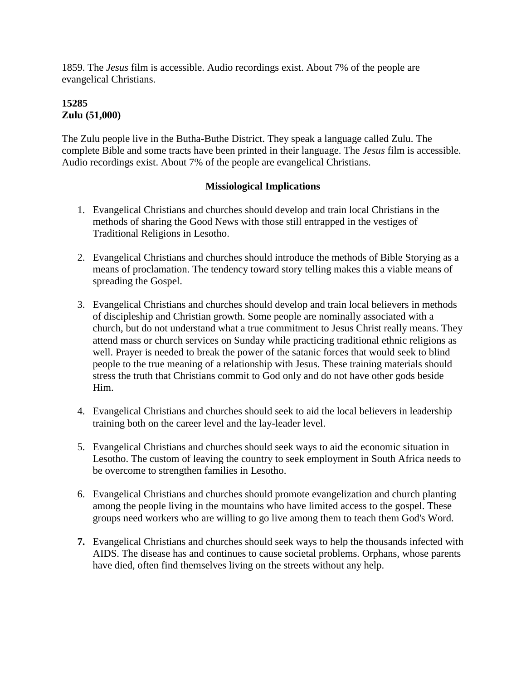1859. The *Jesus* film is accessible. Audio recordings exist. About 7% of the people are evangelical Christians.

# **15285 Zulu (51,000)**

The Zulu people live in the Butha-Buthe District. They speak a language called Zulu. The complete Bible and some tracts have been printed in their language. The *Jesus* film is accessible. Audio recordings exist. About 7% of the people are evangelical Christians.

## **Missiological Implications**

- 1. Evangelical Christians and churches should develop and train local Christians in the methods of sharing the Good News with those still entrapped in the vestiges of Traditional Religions in Lesotho.
- 2. Evangelical Christians and churches should introduce the methods of Bible Storying as a means of proclamation. The tendency toward story telling makes this a viable means of spreading the Gospel.
- 3. Evangelical Christians and churches should develop and train local believers in methods of discipleship and Christian growth. Some people are nominally associated with a church, but do not understand what a true commitment to Jesus Christ really means. They attend mass or church services on Sunday while practicing traditional ethnic religions as well. Prayer is needed to break the power of the satanic forces that would seek to blind people to the true meaning of a relationship with Jesus. These training materials should stress the truth that Christians commit to God only and do not have other gods beside Him.
- 4. Evangelical Christians and churches should seek to aid the local believers in leadership training both on the career level and the lay-leader level.
- 5. Evangelical Christians and churches should seek ways to aid the economic situation in Lesotho. The custom of leaving the country to seek employment in South Africa needs to be overcome to strengthen families in Lesotho.
- 6. Evangelical Christians and churches should promote evangelization and church planting among the people living in the mountains who have limited access to the gospel. These groups need workers who are willing to go live among them to teach them God's Word.
- **7.** Evangelical Christians and churches should seek ways to help the thousands infected with AIDS. The disease has and continues to cause societal problems. Orphans, whose parents have died, often find themselves living on the streets without any help.